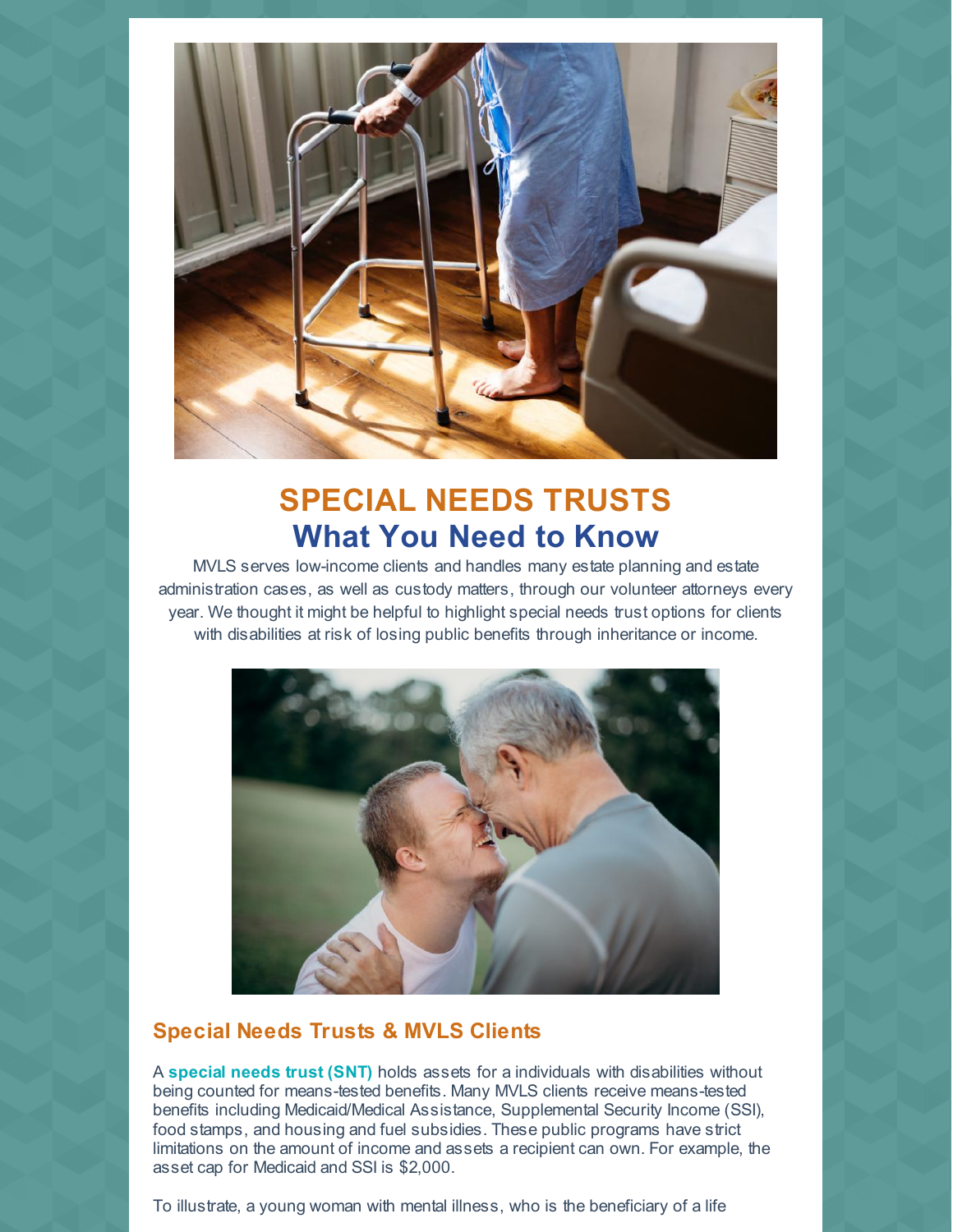

## **SPECIAL NEEDS TRUSTS What You Need to Know**

MVLS serves low-income clients and handles many estate planning and estate administration cases, as well as custody matters, through our volunteer attorneys every year. We thought it might be helpful to highlight special needs trust options for clients with disabilities at risk of losing public benefits through inheritance or income.



#### **Special Needs Trusts & MVLS Clients**

A **special needs trust (SNT)** holds assets for a individuals with disabilities without being counted for means-tested benefits. Many MVLS clients receive means-tested benefits including Medicaid/Medical Assistance, Supplemental Security Income (SSI), food stamps, and housing and fuel subsidies. These public programs have strict limitations on the amount of income and assets a recipient can own. For example, the asset cap for Medicaid and SSI is \$2,000.

To illustrate, a young woman with mental illness, who is the beneficiary of a life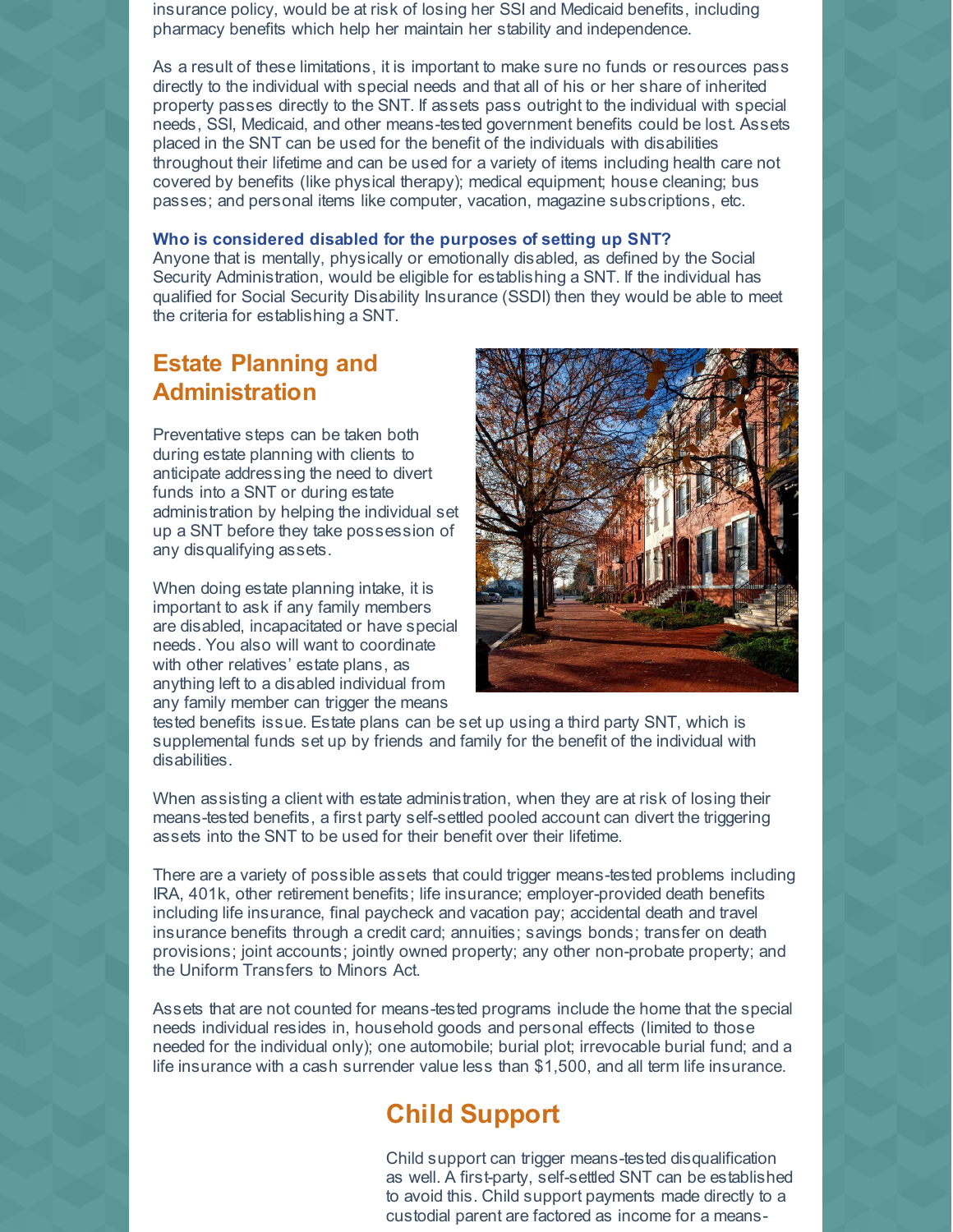insurance policy, would be at risk of losing her SSI and Medicaid benefits, including pharmacy benefits which help her maintain her stability and independence.

As a result of these limitations, it is important to make sure no funds or resources pass directly to the individual with special needs and that all of his or her share of inherited property passes directly to the SNT. If assets pass outright to the individual with special needs, SSI, Medicaid, and other means-tested government benefits could be lost. Assets placed in the SNT can be used for the benefit of the individuals with disabilities throughout their lifetime and can be used for a variety of items including health care not covered by benefits (like physical therapy); medical equipment; house cleaning; bus passes; and personal items like computer, vacation, magazine subscriptions, etc.

#### **Who is considered disabled for the purposes of setting up SNT?**

Anyone that is mentally, physically or emotionally disabled, as defined by the Social Security Administration, would be eligible for establishing a SNT. If the individual has qualified for Social Security Disability Insurance (SSDI) then they would be able to meet the criteria for establishing a SNT.

#### **Estate Planning and Administration**

Preventative steps can be taken both during estate planning with clients to anticipate addressing the need to divert funds into a SNT or during estate administration by helping the individual set up a SNT before they take possession of any disqualifying assets.

When doing estate planning intake, it is important to ask if any family members are disabled, incapacitated or have special needs. You also will want to coordinate with other relatives' estate plans, as anything left to a disabled individual from any family member can trigger the means



tested benefits issue. Estate plans can be set up using a third party SNT, which is supplemental funds set up by friends and family for the benefit of the individual with disabilities.

When assisting a client with estate administration, when they are at risk of losing their means-tested benefits, a first party self-settled pooled account can divert the triggering assets into the SNT to be used for their benefit over their lifetime.

There are a variety of possible assets that could trigger means-tested problems including IRA, 401k, other retirement benefits; life insurance; employer-provided death benefits including life insurance, final paycheck and vacation pay; accidental death and travel insurance benefits through a credit card; annuities; savings bonds; transfer on death provisions; joint accounts; jointly owned property; any other non-probate property; and the Uniform Transfers to Minors Act.

Assets that are not counted for means-tested programs include the home that the special needs individual resides in, household goods and personal effects (limited to those needed for the individual only); one automobile; burial plot; irrevocable burial fund; and a life insurance with a cash surrender value less than \$1,500, and all term life insurance.

### **Child Support**

Child support can trigger means-tested disqualification as well. A first-party, self-settled SNT can be established to avoid this. Child support payments made directly to a custodial parent are factored as income for a means-